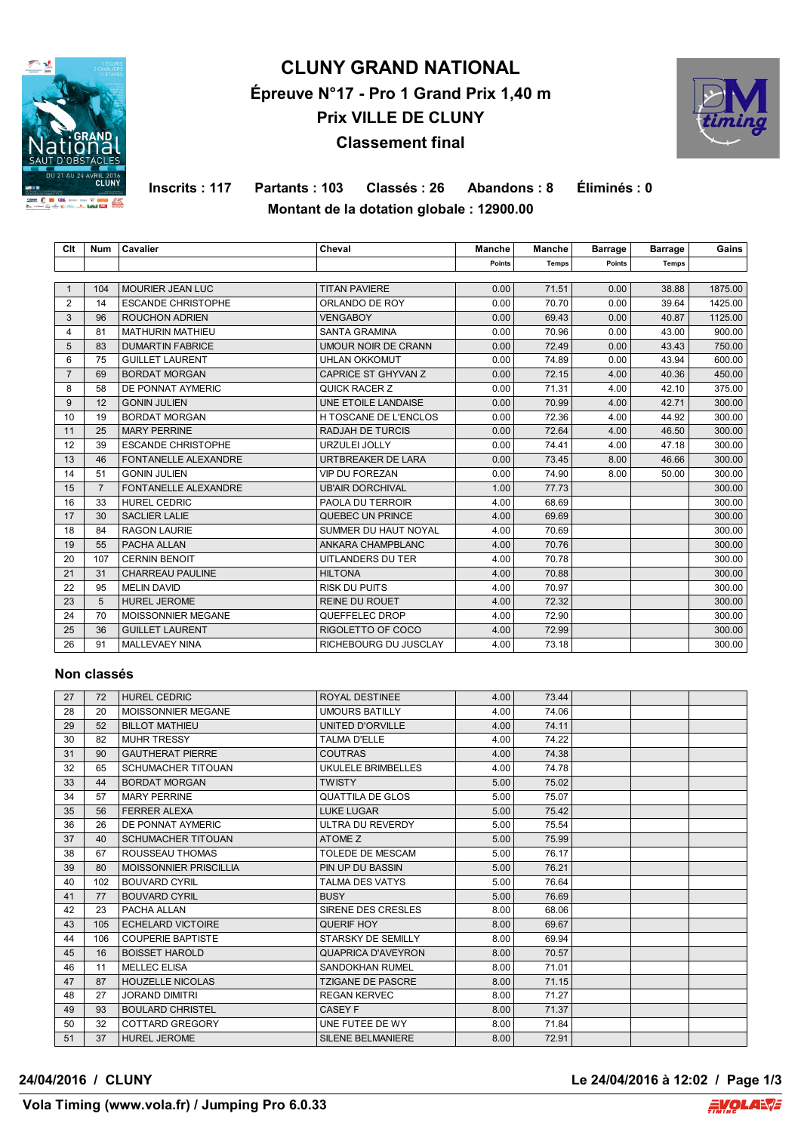

# **CLUNY GRAND NATIONAL Épreuve N°17 - Pro 1 Grand Prix 1,40 m Prix VILLE DE CLUNY Classement final**



**Inscrits : 117 Partants : 103 Classés : 26 Abandons : 8 Éliminés : 0 Montant de la dotation globale : 12900.00**

| Clt            | <b>Num</b>     | Cavalier                    | Cheval                  | Manche | <b>Manche</b> | <b>Barrage</b> | <b>Barrage</b> | Gains   |
|----------------|----------------|-----------------------------|-------------------------|--------|---------------|----------------|----------------|---------|
|                |                |                             |                         | Points | <b>Temps</b>  | Points         | <b>Temps</b>   |         |
|                |                |                             |                         |        |               |                |                |         |
| $\mathbf 1$    | 104            | MOURIER JEAN LUC            | <b>TITAN PAVIERE</b>    | 0.00   | 71.51         | 0.00           | 38.88          | 1875.00 |
| 2              | 14             | <b>ESCANDE CHRISTOPHE</b>   | ORLANDO DE ROY          | 0.00   | 70.70         | 0.00           | 39.64          | 1425.00 |
| 3              | 96             | <b>ROUCHON ADRIEN</b>       | <b>VENGABOY</b>         | 0.00   | 69.43         | 0.00           | 40.87          | 1125.00 |
| 4              | 81             | <b>MATHURIN MATHIEU</b>     | <b>SANTA GRAMINA</b>    | 0.00   | 70.96         | 0.00           | 43.00          | 900.00  |
| 5              | 83             | <b>DUMARTIN FABRICE</b>     | UMOUR NOIR DE CRANN     | 0.00   | 72.49         | 0.00           | 43.43          | 750.00  |
| 6              | 75             | <b>GUILLET LAURENT</b>      | <b>UHLAN OKKOMUT</b>    | 0.00   | 74.89         | 0.00           | 43.94          | 600.00  |
| $\overline{7}$ | 69             | <b>BORDAT MORGAN</b>        | CAPRICE ST GHYVAN Z     | 0.00   | 72.15         | 4.00           | 40.36          | 450.00  |
| 8              | 58             | DE PONNAT AYMERIC           | QUICK RACER Z           | 0.00   | 71.31         | 4.00           | 42.10          | 375.00  |
| 9              | 12             | <b>GONIN JULIEN</b>         | UNE ETOILE LANDAISE     | 0.00   | 70.99         | 4.00           | 42.71          | 300.00  |
| 10             | 19             | <b>BORDAT MORGAN</b>        | H TOSCANE DE L'ENCLOS   | 0.00   | 72.36         | 4.00           | 44.92          | 300.00  |
| 11             | 25             | <b>MARY PERRINE</b>         | <b>RADJAH DE TURCIS</b> | 0.00   | 72.64         | 4.00           | 46.50          | 300.00  |
| 12             | 39             | <b>ESCANDE CHRISTOPHE</b>   | URZULEI JOLLY           | 0.00   | 74.41         | 4.00           | 47.18          | 300.00  |
| 13             | 46             | <b>FONTANELLE ALEXANDRE</b> | URTBREAKER DE LARA      | 0.00   | 73.45         | 8.00           | 46.66          | 300.00  |
| 14             | 51             | <b>GONIN JULIEN</b>         | <b>VIP DU FOREZAN</b>   | 0.00   | 74.90         | 8.00           | 50.00          | 300.00  |
| 15             | $\overline{7}$ | <b>FONTANELLE ALEXANDRE</b> | <b>UB'AIR DORCHIVAL</b> | 1.00   | 77.73         |                |                | 300.00  |
| 16             | 33             | <b>HUREL CEDRIC</b>         | PAOLA DU TERROIR        | 4.00   | 68.69         |                |                | 300.00  |
| 17             | 30             | <b>SACLIER LALIE</b>        | QUEBEC UN PRINCE        | 4.00   | 69.69         |                |                | 300.00  |
| 18             | 84             | <b>RAGON LAURIE</b>         | SUMMER DU HAUT NOYAL    | 4.00   | 70.69         |                |                | 300.00  |
| 19             | 55             | PACHA ALLAN                 | ANKARA CHAMPBLANC       | 4.00   | 70.76         |                |                | 300.00  |
| 20             | 107            | <b>CERNIN BENOIT</b>        | UITLANDERS DU TER       | 4.00   | 70.78         |                |                | 300.00  |
| 21             | 31             | <b>CHARREAU PAULINE</b>     | <b>HILTONA</b>          | 4.00   | 70.88         |                |                | 300.00  |
| 22             | 95             | <b>MELIN DAVID</b>          | <b>RISK DU PUITS</b>    | 4.00   | 70.97         |                |                | 300.00  |
| 23             | 5              | <b>HUREL JEROME</b>         | <b>REINE DU ROUET</b>   | 4.00   | 72.32         |                |                | 300.00  |
| 24             | 70             | MOISSONNIER MEGANE          | QUEFFELEC DROP          | 4.00   | 72.90         |                |                | 300.00  |
| 25             | 36             | <b>GUILLET LAURENT</b>      | RIGOLETTO OF COCO       | 4.00   | 72.99         |                |                | 300.00  |
| 26             | 91             | MALLEVAEY NINA              | RICHEBOURG DU JUSCLAY   | 4.00   | 73.18         |                |                | 300.00  |

### **Non classés**

| 27 | 72  | <b>HUREL CEDRIC</b>           | <b>ROYAL DESTINEE</b>     | 4.00 | 73.44 |  |  |
|----|-----|-------------------------------|---------------------------|------|-------|--|--|
| 28 | 20  | MOISSONNIER MEGANE            | <b>UMOURS BATILLY</b>     | 4.00 | 74.06 |  |  |
| 29 | 52  | <b>BILLOT MATHIEU</b>         | UNITED D'ORVILLE          | 4.00 | 74.11 |  |  |
| 30 | 82  | <b>MUHR TRESSY</b>            | <b>TALMA D'ELLE</b>       | 4.00 | 74.22 |  |  |
| 31 | 90  | <b>GAUTHERAT PIERRE</b>       | <b>COUTRAS</b>            | 4.00 | 74.38 |  |  |
| 32 | 65  | <b>SCHUMACHER TITOUAN</b>     | UKULELE BRIMBELLES        | 4.00 | 74.78 |  |  |
| 33 | 44  | <b>BORDAT MORGAN</b>          | <b>TWISTY</b>             | 5.00 | 75.02 |  |  |
| 34 | 57  | <b>MARY PERRINE</b>           | <b>QUATTILA DE GLOS</b>   | 5.00 | 75.07 |  |  |
| 35 | 56  | <b>FERRER ALEXA</b>           | <b>LUKE LUGAR</b>         | 5.00 | 75.42 |  |  |
| 36 | 26  | DE PONNAT AYMERIC             | ULTRA DU REVERDY          | 5.00 | 75.54 |  |  |
| 37 | 40  | <b>SCHUMACHER TITOUAN</b>     | ATOME Z                   | 5.00 | 75.99 |  |  |
| 38 | 67  | ROUSSEAU THOMAS               | <b>TOLEDE DE MESCAM</b>   | 5.00 | 76.17 |  |  |
| 39 | 80  | <b>MOISSONNIER PRISCILLIA</b> | <b>PIN UP DU BASSIN</b>   | 5.00 | 76.21 |  |  |
| 40 | 102 | <b>BOUVARD CYRIL</b>          | <b>TALMA DES VATYS</b>    | 5.00 | 76.64 |  |  |
| 41 | 77  | <b>BOUVARD CYRIL</b>          | <b>BUSY</b>               | 5.00 | 76.69 |  |  |
| 42 | 23  | PACHA ALLAN                   | SIRENE DES CRESLES        | 8.00 | 68.06 |  |  |
| 43 | 105 | <b>ECHELARD VICTOIRE</b>      | QUERIF HOY                | 8.00 | 69.67 |  |  |
| 44 | 106 | <b>COUPERIE BAPTISTE</b>      | <b>STARSKY DE SEMILLY</b> | 8.00 | 69.94 |  |  |
| 45 | 16  | <b>BOISSET HAROLD</b>         | <b>QUAPRICA D'AVEYRON</b> | 8.00 | 70.57 |  |  |
| 46 | 11  | <b>MELLEC ELISA</b>           | <b>SANDOKHAN RUMEL</b>    | 8.00 | 71.01 |  |  |
| 47 | 87  | <b>HOUZELLE NICOLAS</b>       | <b>TZIGANE DE PASCRE</b>  | 8.00 | 71.15 |  |  |
| 48 | 27  | <b>JORAND DIMITRI</b>         | <b>REGAN KERVEC</b>       | 8.00 | 71.27 |  |  |
| 49 | 93  | <b>BOULARD CHRISTEL</b>       | <b>CASEY F</b>            | 8.00 | 71.37 |  |  |
| 50 | 32  | COTTARD GREGORY               | UNE FUTEE DE WY           | 8.00 | 71.84 |  |  |
| 51 | 37  | <b>HUREL JEROME</b>           | <b>SILENE BELMANIERE</b>  | 8.00 | 72.91 |  |  |

**24/04/2016 / CLUNY Le 24/04/2016 à 12:02 / Page 1/3**

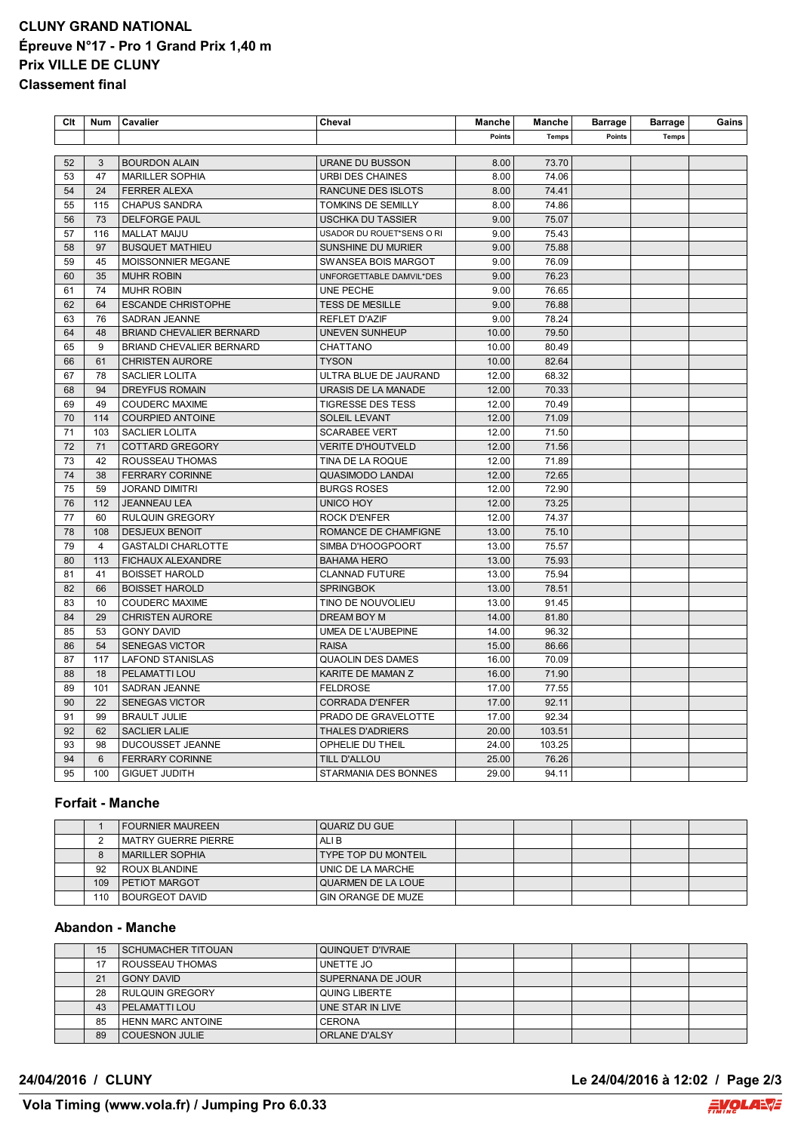## **CLUNY GRAND NATIONAL Épreuve N°17 - Pro 1 Grand Prix 1,40 m Prix VILLE DE CLUNY Classement final**

| Clt | Num            | Cavalier                        | Cheval                      | Manche | Manche       | <b>Barrage</b> | <b>Barrage</b> | Gains |
|-----|----------------|---------------------------------|-----------------------------|--------|--------------|----------------|----------------|-------|
|     |                |                                 |                             | Points | <b>Temps</b> | Points         | <b>Temps</b>   |       |
|     |                |                                 |                             |        |              |                |                |       |
| 52  | 3              | <b>BOURDON ALAIN</b>            | <b>URANE DU BUSSON</b>      | 8.00   | 73.70        |                |                |       |
| 53  | 47             | <b>MARILLER SOPHIA</b>          | <b>URBI DES CHAINES</b>     | 8.00   | 74.06        |                |                |       |
| 54  | 24             | <b>FERRER ALEXA</b>             | RANCUNE DES ISLOTS          | 8.00   | 74.41        |                |                |       |
| 55  | 115            | <b>CHAPUS SANDRA</b>            | TOMKINS DE SEMILLY          | 8.00   | 74.86        |                |                |       |
| 56  | 73             | <b>DELFORGE PAUL</b>            | <b>USCHKA DU TASSIER</b>    | 9.00   | 75.07        |                |                |       |
| 57  | 116            | <b>MALLAT MAIJU</b>             | USADOR DU ROUET*SENS O RI   | 9.00   | 75.43        |                |                |       |
| 58  | 97             | <b>BUSQUET MATHIEU</b>          | SUNSHINE DU MURIER          | 9.00   | 75.88        |                |                |       |
| 59  | 45             | MOISSONNIER MEGANE              | SWANSEA BOIS MARGOT         | 9.00   | 76.09        |                |                |       |
| 60  | 35             | <b>MUHR ROBIN</b>               | UNFORGETTABLE DAMVIL*DES    | 9.00   | 76.23        |                |                |       |
| 61  | 74             | <b>MUHR ROBIN</b>               | UNE PECHE                   | 9.00   | 76.65        |                |                |       |
| 62  | 64             | <b>ESCANDE CHRISTOPHE</b>       | <b>TESS DE MESILLE</b>      | 9.00   | 76.88        |                |                |       |
| 63  | 76             | SADRAN JEANNE                   | <b>REFLET D'AZIF</b>        | 9.00   | 78.24        |                |                |       |
| 64  | 48             | <b>BRIAND CHEVALIER BERNARD</b> | <b>UNEVEN SUNHEUP</b>       | 10.00  | 79.50        |                |                |       |
| 65  | 9              | <b>BRIAND CHEVALIER BERNARD</b> | CHATTANO                    | 10.00  | 80.49        |                |                |       |
| 66  | 61             | <b>CHRISTEN AURORE</b>          | <b>TYSON</b>                | 10.00  | 82.64        |                |                |       |
| 67  | 78             | SACLIER LOLITA                  | ULTRA BLUE DE JAURAND       | 12.00  | 68.32        |                |                |       |
| 68  | 94             | <b>DREYFUS ROMAIN</b>           | URASIS DE LA MANADE         | 12.00  | 70.33        |                |                |       |
| 69  | 49             | <b>COUDERC MAXIME</b>           | <b>TIGRESSE DES TESS</b>    | 12.00  | 70.49        |                |                |       |
| 70  | 114            | <b>COURPIED ANTOINE</b>         | <b>SOLEIL LEVANT</b>        | 12.00  | 71.09        |                |                |       |
| 71  | 103            | <b>SACLIER LOLITA</b>           | <b>SCARABEE VERT</b>        | 12.00  | 71.50        |                |                |       |
| 72  | 71             | <b>COTTARD GREGORY</b>          | <b>VERITE D'HOUTVELD</b>    | 12.00  | 71.56        |                |                |       |
| 73  | 42             | ROUSSEAU THOMAS                 | TINA DE LA ROQUE            | 12.00  | 71.89        |                |                |       |
| 74  | 38             | <b>FERRARY CORINNE</b>          | <b>QUASIMODO LANDAI</b>     | 12.00  | 72.65        |                |                |       |
| 75  | 59             | <b>JORAND DIMITRI</b>           | <b>BURGS ROSES</b>          | 12.00  | 72.90        |                |                |       |
| 76  | 112            | <b>JEANNEAU LEA</b>             | UNICO HOY                   | 12.00  | 73.25        |                |                |       |
| 77  | 60             | <b>RULQUIN GREGORY</b>          | <b>ROCK D'ENFER</b>         | 12.00  | 74.37        |                |                |       |
| 78  | 108            | <b>DESJEUX BENOIT</b>           | ROMANCE DE CHAMFIGNE        | 13.00  | 75.10        |                |                |       |
| 79  | $\overline{4}$ | <b>GASTALDI CHARLOTTE</b>       | SIMBA D'HOOGPOORT           | 13.00  | 75.57        |                |                |       |
| 80  | 113            | FICHAUX ALEXANDRE               | <b>BAHAMA HERO</b>          | 13.00  | 75.93        |                |                |       |
| 81  | 41             | <b>BOISSET HAROLD</b>           | <b>CLANNAD FUTURE</b>       | 13.00  | 75.94        |                |                |       |
| 82  | 66             | <b>BOISSET HAROLD</b>           | <b>SPRINGBOK</b>            | 13.00  | 78.51        |                |                |       |
| 83  | 10             | <b>COUDERC MAXIME</b>           | TINO DE NOUVOLIEU           | 13.00  | 91.45        |                |                |       |
| 84  | 29             | <b>CHRISTEN AURORE</b>          | DREAM BOY M                 | 14.00  | 81.80        |                |                |       |
| 85  | 53             | <b>GONY DAVID</b>               | UMEA DE L'AUBEPINE          | 14.00  | 96.32        |                |                |       |
| 86  | 54             | <b>SENEGAS VICTOR</b>           | <b>RAISA</b>                | 15.00  | 86.66        |                |                |       |
| 87  | 117            | <b>LAFOND STANISLAS</b>         | <b>QUAOLIN DES DAMES</b>    | 16.00  | 70.09        |                |                |       |
| 88  | 18             | PELAMATTI LOU                   | KARITE DE MAMAN Z           | 16.00  | 71.90        |                |                |       |
| 89  | 101            | <b>SADRAN JEANNE</b>            | <b>FELDROSE</b>             | 17.00  | 77.55        |                |                |       |
| 90  | 22             | <b>SENEGAS VICTOR</b>           | <b>CORRADA D'ENFER</b>      | 17.00  | 92.11        |                |                |       |
| 91  | 99             | <b>BRAULT JULIE</b>             | PRADO DE GRAVELOTTE         | 17.00  | 92.34        |                |                |       |
| 92  | 62             | <b>SACLIER LALIE</b>            | <b>THALES D'ADRIERS</b>     | 20.00  | 103.51       |                |                |       |
| 93  | 98             | DUCOUSSET JEANNE                | OPHELIE DU THEIL            | 24.00  | 103.25       |                |                |       |
| 94  | 6              | <b>FERRARY CORINNE</b>          | TILL D'ALLOU                | 25.00  | 76.26        |                |                |       |
| 95  | 100            | <b>GIGUET JUDITH</b>            | <b>STARMANIA DES BONNES</b> | 29.00  | 94.11        |                |                |       |
|     |                |                                 |                             |        |              |                |                |       |

#### **Forfait - Manche**

|     | <b>FOURNIER MAUREEN</b> | QUARIZ DU GUE              |  |  |  |
|-----|-------------------------|----------------------------|--|--|--|
|     | l MATRY GUERRE PIERRE   | ALI B                      |  |  |  |
|     | I MARILLER SOPHIA       | <b>TYPE TOP DU MONTEIL</b> |  |  |  |
| 92  | I ROUX BLANDINE         | UNIC DE LA MARCHE          |  |  |  |
| 109 | <b>PETIOT MARGOT</b>    | QUARMEN DE LA LOUE         |  |  |  |
| 110 | I BOURGEOT DAVID        | ' GIN ORANGE DE MUZE       |  |  |  |

### **Abandon - Manche**

| 15 | <b>SCHUMACHER TITOUAN</b> | QUINQUET D'IVRAIE    |  |  |  |
|----|---------------------------|----------------------|--|--|--|
| 17 | ROUSSEAU THOMAS           | UNETTE JO            |  |  |  |
| 21 | GONY DAVID                | SUPERNANA DE JOUR    |  |  |  |
| 28 | <b>RULQUIN GREGORY</b>    | <b>QUING LIBERTE</b> |  |  |  |
| 43 | <b>PELAMATTILOU</b>       | UNE STAR IN LIVE     |  |  |  |
| 85 | HENN MARC ANTOINE         | <b>CERONA</b>        |  |  |  |
| 89 | <b>COUESNON JULIE</b>     | ORLANE D'ALSY        |  |  |  |

**24/04/2016 / CLUNY Le 24/04/2016 à 12:02 / Page 2/3**